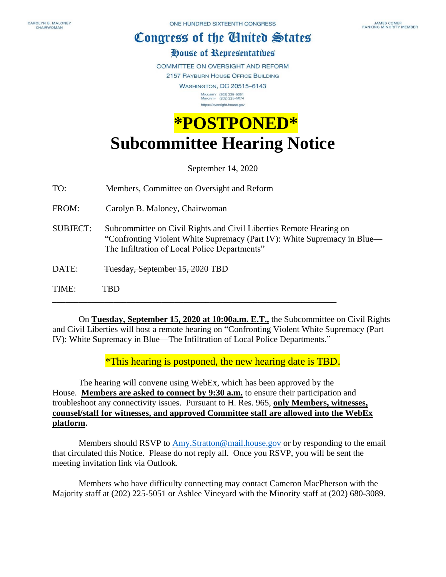## Congress of the Ginited States

## House of Representatibes

COMMITTEE ON OVERSIGHT AND REFORM

2157 RAYBURN HOUSE OFFICE BUILDING

**WASHINGTON, DC 20515-6143** MAJORITY (202) 225-5051<br>MINORITY (202) 225-5074 https://oversight.house.gov

## **\*POSTPONED\* Subcommittee Hearing Notice**

September 14, 2020

TO: Members, Committee on Oversight and Reform

FROM: Carolyn B. Maloney, Chairwoman

SUBJECT: Subcommittee on Civil Rights and Civil Liberties Remote Hearing on "Confronting Violent White Supremacy (Part IV): White Supremacy in Blue— The Infiltration of Local Police Departments"

DATE: Tuesday, September 15, 2020 TBD

TIME: TBD

 On **Tuesday, September 15, 2020 at 10:00a.m. E.T.,** the Subcommittee on Civil Rights and Civil Liberties will host a remote hearing on "Confronting Violent White Supremacy (Part IV): White Supremacy in Blue—The Infiltration of Local Police Departments."

\_\_\_\_\_\_\_\_\_\_\_\_\_\_\_\_\_\_\_\_\_\_\_\_\_\_\_\_\_\_\_\_\_\_\_\_\_\_\_\_\_\_\_\_\_\_\_\_\_\_\_\_\_\_\_\_\_\_\_\_\_\_\_\_\_

\*This hearing is postponed, the new hearing date is TBD.

 The hearing will convene using WebEx, which has been approved by the House. **Members are asked to connect by 9:30 a.m.** to ensure their participation and troubleshoot any connectivity issues. Pursuant to H. Res. 965, **only Members, witnesses, counsel/staff for witnesses, and approved Committee staff are allowed into the WebEx platform.**

Members should RSVP to [Amy.Stratton@mail.house.gov](mailto:Amy.Stratton@mail.house.gov) or by responding to the email that circulated this Notice. Please do not reply all. Once you RSVP, you will be sent the meeting invitation link via Outlook.

Members who have difficulty connecting may contact Cameron MacPherson with the Majority staff at (202) 225-5051 or Ashlee Vineyard with the Minority staff at (202) 680-3089.